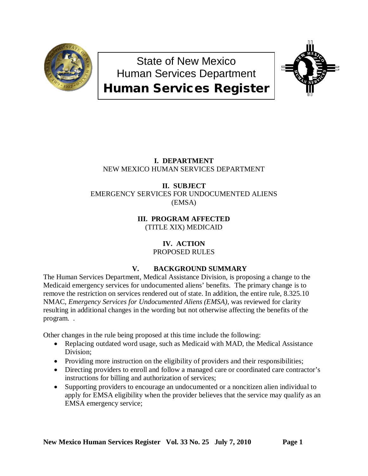

State of New Mexico Human Services Department Human Services Register



## **I. DEPARTMENT** NEW MEXICO HUMAN SERVICES DEPARTMENT

### **II. SUBJECT** EMERGENCY SERVICES FOR UNDOCUMENTED ALIENS (EMSA)

**III. PROGRAM AFFECTED** (TITLE XIX) MEDICAID

# **IV. ACTION**

PROPOSED RULES

# **V. BACKGROUND SUMMARY**

The Human Services Department, Medical Assistance Division, is proposing a change to the Medicaid emergency services for undocumented aliens' benefits. The primary change is to remove the restriction on services rendered out of state. In addition, the entire rule, 8.325.10 NMAC, *Emergency Services for Undocumented Aliens (EMSA)*, was reviewed for clarity resulting in additional changes in the wording but not otherwise affecting the benefits of the program. .

Other changes in the rule being proposed at this time include the following:

- Replacing outdated word usage, such as Medicaid with MAD, the Medical Assistance Division;
- Providing more instruction on the eligibility of providers and their responsibilities;
- Directing providers to enroll and follow a managed care or coordinated care contractor's instructions for billing and authorization of services;
- Supporting providers to encourage an undocumented or a noncitizen alien individual to apply for EMSA eligibility when the provider believes that the service may qualify as an EMSA emergency service;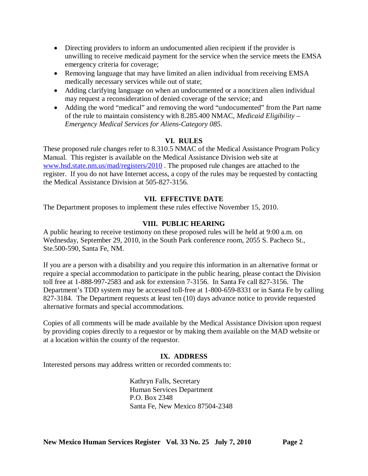- Directing providers to inform an undocumented alien recipient if the provider is unwilling to receive medicaid payment for the service when the service meets the EMSA emergency criteria for coverage;
- Removing language that may have limited an alien individual from receiving EMSA medically necessary services while out of state;
- Adding clarifying language on when an undocumented or a noncitizen alien individual may request a reconsideration of denied coverage of the service; and
- Adding the word "medical" and removing the word "undocumented" from the Part name of the rule to maintain consistency with 8.285.400 NMAC, *Medicaid Eligibility – Emergency Medical Services for Aliens-Category 085.*

### **VI. RULES**

These proposed rule changes refer to 8.310.5 NMAC of the Medical Assistance Program Policy Manual. This register is available on the Medical Assistance Division web site at [www.hsd.state.nm.us/mad/registers/2010](http://www.hsd.state.nm.us/mad/registers/2010) . The proposed rule changes are attached to the register. If you do not have Internet access, a copy of the rules may be requested by contacting the Medical Assistance Division at 505-827-3156.

### **VII. EFFECTIVE DATE**

The Department proposes to implement these rules effective November 15, 2010.

### **VIII. PUBLIC HEARING**

A public hearing to receive testimony on these proposed rules will be held at 9:00 a.m. on Wednesday, September 29, 2010, in the South Park conference room, 2055 S. Pacheco St., Ste.500-590, Santa Fe, NM.

If you are a person with a disability and you require this information in an alternative format or require a special accommodation to participate in the public hearing, please contact the Division toll free at 1-888-997-2583 and ask for extension 7-3156. In Santa Fe call 827-3156. The Department's TDD system may be accessed toll-free at 1-800-659-8331 or in Santa Fe by calling 827-3184. The Department requests at least ten (10) days advance notice to provide requested alternative formats and special accommodations.

Copies of all comments will be made available by the Medical Assistance Division upon request by providing copies directly to a requestor or by making them available on the MAD website or at a location within the county of the requestor.

### **IX. ADDRESS**

Interested persons may address written or recorded comments to:

Kathryn Falls, Secretary Human Services Department P.O. Box 2348 Santa Fe, New Mexico 87504-2348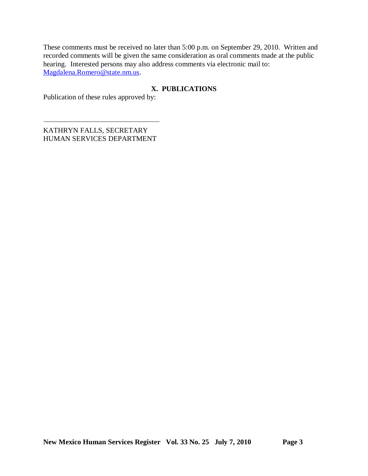These comments must be received no later than 5:00 p.m. on September 29, 2010. Written and recorded comments will be given the same consideration as oral comments made at the public hearing. Interested persons may also address comments via electronic mail to: [Magdalena.Romero@state.nm.us.](mailto:Magdalena.Romero@state.nm.us)

## **X. PUBLICATIONS**

Publication of these rules approved by:

KATHRYN FALLS, SECRETARY HUMAN SERVICES DEPARTMENT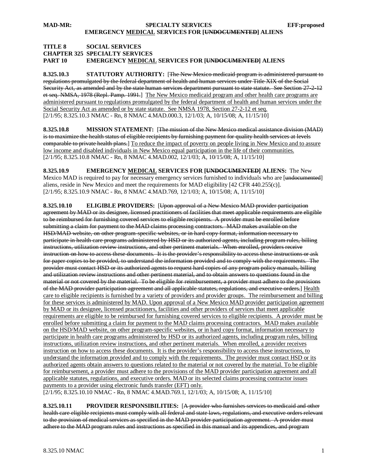#### **TITLE 8 SOCIAL SERVICES CHAPTER 325 SPECIALTY SERVICES PART 10 EMERGENCY MEDICAL SERVICES FOR [UNDOCUMENTED] ALIENS**

**8.325.10.3 STATUTORY AUTHORITY:** [The New Mexico medicaid program is administered pursuant to regulations promulgated by the federal department of health and human services under Title XIX of the Social Security Act, as amended and by the state human services department pursuant to state statute. See Section 27-2-12et seq. NMSA, 1978 (Repl. Pamp. 1991.] The New Mexico medicaid program and other health care programs are [2/1/95; 8.325.10.3 NMAC - Rn, 8 NMAC 4.MAD.000.3, 12/1/03; A, 10/15/08; A, 11/15/10] administered pursuant to regulations promulgated by the federal department of health and human services under the Social Security Act as amended or by state statute. See NMSA 1978, Section 27-2-12 et seq.

**8.325.10.8 MISSION STATEMENT:** [The mission of the New Mexico medical assistance division (MAD) is to maximize the health status of eligible recipients by furnishing payment for quality health services at levels comparable to private health plans.] To reduce the impact of poverty on people living in New Mexico and to assure [2/1/95; 8.325.10.8 NMAC - Rn, 8 NMAC 4.MAD.002, 12/1/03; A, 10/15/08; A, 11/15/10] low income and disabled individuals in New Mexico equal participation in the life of their communities.

**8.325.10.9 EMERGENCY MEDICAL SERVICES FOR [UNDOCUMENTED] ALIENS:** The New Mexico MAD is required to pay for necessary emergency services furnished to individuals who are [<del>undocumented</del>] [2/1/95; 8.325.10.9 NMAC - Rn, 8 NMAC 4.MAD.769, 12/1/03; A, 10/15/08; A, 11/15/10] aliens, reside in New Mexico and meet the requirements for MAD eligibility [42 CFR 440.255(c)].

**8.325.10.10 ELIGIBLE PROVIDERS:** [Upon approval of a New Mexico MAD provider participation agreement by MAD or its designee, licensed practitioners of facilities that meet applicable requirements are eligible to be reimbursed for furnishing covered services to eligible recipients. A provider must be enrolled before submitting a claim for payment to the MAD claims processing contractors. MAD makes available on the HSD/MAD website, on other program-specific websites, or in hard copy format, information necessary to participate in health care programs administered by HSD or its authorized agents, including program rules, billing instructions, utilization review instructions, and other pertinent materials. When enrolled, providers receive instruction on how to access these documents. It is the provider's responsibility to access these instructions or ask for paper copies to be provided, to understand the information provided and to comply with the requirements. The provider must contact HSD or its authorized agents to request hard copies of any program policy manuals, billing and utilization review instructions and other pertinent material, and to obtain answers to questions found in the material or not covered by the material. To be eligible for reimbursement, a provider must adhere to the provisions of the MAD provider participation agreement and all applicable statutes, regulations, and executive orders.] <u>Health</u> care to eligible recipients is furnished by a variety of providers and provider groups. The reimbursement and billing for these services is administered by MAD. Upon approval of a New Mexico MAD provider participation agreement by MAD or its designee, licensed practitioners, facilities and other providers of services that meet applicable requirements are eligible to be reimbursed for furnishing covered services to eligible recipients. A provider must be enrolled before submitting a claim for payment to the MAD claims processing contractors. MAD makes available on the HSD/MAD website, on other program-specific websites, or in hard copy format, information necessary to participate in health care programs administered by HSD or its authorized agents, including program rules, billing instructions, utilization review instructions, and other pertinent materials. When enrolled, a provider receives instruction on how to access these documents. It is the provider's responsibility to access these instructions, to understand the information provided and to comply with the requirements. The provider must contact HSD or its authorized agents obtain answers to questions related to the material or not covered by the material. To be eligible for reimbursement, a provider must adhere to the provisions of the MAD provider participation agreement and all applicable statutes, regulations, and executive orders. MAD or its selected claims processing contractor issues payments to a provider using electronic funds transfer (EFT) only.

[2/1/95; 8.325.10.10 NMAC - Rn, 8 NMAC 4.MAD.769.1, 12/1/03; A, 10/15/08; A, 11/15/10]

**8.325.10.11 PROVIDER RESPONSIBILITIES:** [A provider who furnishes services to medicaid and other health care eligible recipients must comply with all federal and state laws, regulations, and executive orders relevant to the provision of medical services as specified in the MAD provider participation agreement. A provider must adhere to the MAD program rules and instructions as specified in this manual and its appendices, and program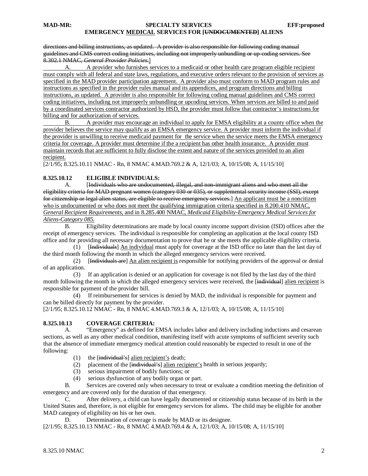#### **MAD-MR: SPECIALTY SERVICES EFF:proposed EMERGENCY MEDICAL SERVICES FOR [UNDOCUMENTED] ALIENS**

#### directions and billing instructions, as updated. A provider is also responsible for following coding manual guidelines and CMS correct coding initiatives, including not improperly unbundling or up-coding services. See 8.302.1 NMAC, *General Provider Policies*.]

A. A provider who furnishes services to a medicaid or other health care program eligible recipient must comply with all federal and state laws, regulations, and executive orders relevant to the provision of services as specified in the MAD provider participation agreement. A provider also must conform to MAD program rules and instructions as specified in the provider rules manual and its appendices, and program directions and billing instructions, as updated. A provider is also responsible for following coding manual guidelines and CMS correct coding initiatives, including not improperly unbundling or upcoding services. When services are billed to and paid by a coordinated services contractor authorized by HSD, the provider must follow that contractor's instructions for billing and for authorization of services.

B. A provider may encourage an individual to apply for EMSA eligibility at a county office when the provider believes the service may qualify as an EMSA emergency service. A provider must inform the individual if the provider is unwilling to receive medicaid payment for the service when the service meets the EMSA emergency criteria for coverage. A provider must determine if the a recipient has other health insurance. A provider must maintain records that are sufficient to fully disclose the extent and nature of the services provided to an alien recipient.

[2/1/95; 8.325.10.11 NMAC - Rn, 8 NMAC 4.MAD.769.2 & A, 12/1/03; A, 10/15/08; A, 11/15/10]

#### **8.325.10.12 ELIGIBLE INDIVIDUALS:**

A. [Individuals who are undocumented, illegal, and non-immigrant aliens and who meet all the eligibility criteria for MAD pregnant women (category 030 or 035), or supplemental security income (SSI), except for citizenship or legal alien status, are eligible to receive emergency services.] An applicant must be a noncitizen who is undocumented or who does not meet the qualifying immigration criteria specified in 8.200.410 NMAC, *General Recipient Requirements,* and in 8.285.400 NMAC, *Medicaid Eligibility-Emergency Medical Services for Aliens-Category 085.*

B. Eligibility determinations are made by local county income support division (ISD) offices after the receipt of emergency services. The individual is responsible for completing an application at the local county ISD office and for providing all necessary documentation to prove that he or she meets the applicable eligibility criteria.

(1) [Hendividuals] An individual must apply for coverage at the ISD office no later than the last day of the third month following the month in which the alleged emergency services were received.

 $(2)$ Individuals are] An alien recipient is responsible for notifying providers of the approval or denial of an application.

 (3) If an application is denied or an application for coverage is not filed by the last day of the third month following the month in which the alleged emergency services were received, the [individual] alien recipient is responsible for payment of the provider bill.

 (4) If reimbursement for services is denied by MAD, the individual is responsible for payment and can be billed directly for payment by the provider.

[2/1/95; 8.325.10.12 NMAC - Rn, 8 NMAC 4.MAD.769.3 & A, 12/1/03; A, 10/15/08; A, 11/15/10]

#### **8.325.10.13 COVERAGE CRITERIA:**

A. "Emergency" as defined for EMSA includes labor and delivery including inductions and cesarean sections, as well as any other medical condition, manifesting itself with acute symptoms of sufficient severity such that the absence of immediate emergency medical attention could reasonably be expected to result in one of the following:

- (1) the [individual's] alien recipient's death;
- (2) placement of the [individual's] alien recipient's health in serious jeopardy;
	- (3) serious impairment of bodily functions; or
	- (4) serious dysfunction of any bodily organ or part.

B. Services are covered only when necessary to treat or evaluate a condition meeting the definition of emergency and are covered only for the duration of that emergency.

C. After delivery, a child can have legally documented or citizenship status because of its birth in the United States and, therefore, is not eligible for emergency services for aliens. The child may be eligible for another MAD category of eligibility on his or her own.

D. Determination of coverage is made by MAD or its designee.

[2/1/95; 8.325.10.13 NMAC - Rn, 8 NMAC 4.MAD.769.4 & A, 12/1/03; A, 10/15/08; A, 11/15/10]